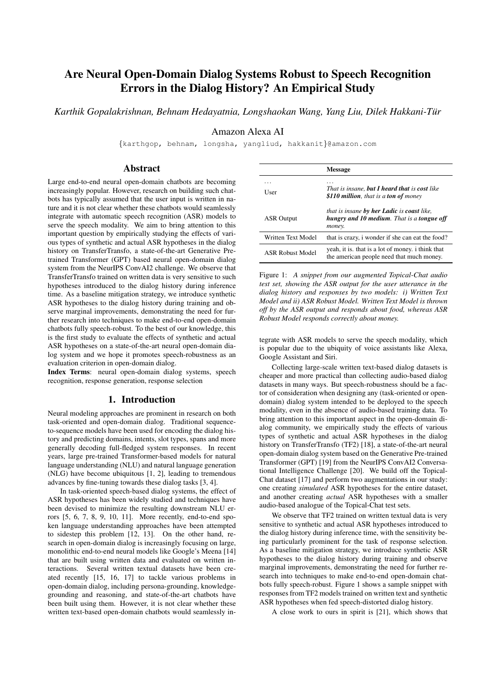# Are Neural Open-Domain Dialog Systems Robust to Speech Recognition Errors in the Dialog History? An Empirical Study

*Karthik Gopalakrishnan, Behnam Hedayatnia, Longshaokan Wang, Yang Liu, Dilek Hakkani-Tur¨*

# Amazon Alexa AI

{karthgop, behnam, longsha, yangliud, hakkanit}@amazon.com

### Abstract

Large end-to-end neural open-domain chatbots are becoming increasingly popular. However, research on building such chatbots has typically assumed that the user input is written in nature and it is not clear whether these chatbots would seamlessly integrate with automatic speech recognition (ASR) models to serve the speech modality. We aim to bring attention to this important question by empirically studying the effects of various types of synthetic and actual ASR hypotheses in the dialog history on TransferTransfo, a state-of-the-art Generative Pretrained Transformer (GPT) based neural open-domain dialog system from the NeurIPS ConvAI2 challenge. We observe that TransferTransfo trained on written data is very sensitive to such hypotheses introduced to the dialog history during inference time. As a baseline mitigation strategy, we introduce synthetic ASR hypotheses to the dialog history during training and observe marginal improvements, demonstrating the need for further research into techniques to make end-to-end open-domain chatbots fully speech-robust. To the best of our knowledge, this is the first study to evaluate the effects of synthetic and actual ASR hypotheses on a state-of-the-art neural open-domain dialog system and we hope it promotes speech-robustness as an evaluation criterion in open-domain dialog.

Index Terms: neural open-domain dialog systems, speech recognition, response generation, response selection

# 1. Introduction

Neural modeling approaches are prominent in research on both task-oriented and open-domain dialog. Traditional sequenceto-sequence models have been used for encoding the dialog history and predicting domains, intents, slot types, spans and more generally decoding full-fledged system responses. In recent years, large pre-trained Transformer-based models for natural language understanding (NLU) and natural language generation (NLG) have become ubiquitous [1, 2], leading to tremendous advances by fine-tuning towards these dialog tasks [3, 4].

In task-oriented speech-based dialog systems, the effect of ASR hypotheses has been widely studied and techniques have been devised to minimize the resulting downstream NLU errors [5, 6, 7, 8, 9, 10, 11]. More recently, end-to-end spoken language understanding approaches have been attempted to sidestep this problem [12, 13]. On the other hand, research in open-domain dialog is increasingly focusing on large, monolithic end-to-end neural models like Google's Meena [14] that are built using written data and evaluated on written interactions. Several written textual datasets have been created recently [15, 16, 17] to tackle various problems in open-domain dialog, including persona-grounding, knowledgegrounding and reasoning, and state-of-the-art chatbots have been built using them. However, it is not clear whether these written text-based open-domain chatbots would seamlessly in-

|                         | Message                                                                                                          |
|-------------------------|------------------------------------------------------------------------------------------------------------------|
| User                    | That is insane, <b>but I heard that</b> is <b>cost</b> like<br>\$110 million, that is a ton of money             |
| <b>ASR</b> Output       | that is insane <b>by her Ladic</b> is <b>coast</b> like,<br>hungry and 10 medium. That is a tongue off<br>money. |
| Written Text Model      | that is crazy, i wonder if she can eat the food?                                                                 |
| <b>ASR Robust Model</b> | yeah, it is, that is a lot of money, i think that<br>the american people need that much money.                   |

Figure 1: *A snippet from our augmented Topical-Chat audio test set, showing the ASR output for the user utterance in the dialog history and responses by two models: i) Written Text Model and ii) ASR Robust Model. Written Text Model is thrown off by the ASR output and responds about food, whereas ASR Robust Model responds correctly about money.*

tegrate with ASR models to serve the speech modality, which is popular due to the ubiquity of voice assistants like Alexa, Google Assistant and Siri.

Collecting large-scale written text-based dialog datasets is cheaper and more practical than collecting audio-based dialog datasets in many ways. But speech-robustness should be a factor of consideration when designing any (task-oriented or opendomain) dialog system intended to be deployed to the speech modality, even in the absence of audio-based training data. To bring attention to this important aspect in the open-domain dialog community, we empirically study the effects of various types of synthetic and actual ASR hypotheses in the dialog history on TransferTransfo (TF2) [18], a state-of-the-art neural open-domain dialog system based on the Generative Pre-trained Transformer (GPT) [19] from the NeurIPS ConvAI2 Conversational Intelligence Challenge [20]. We build off the Topical-Chat dataset [17] and perform two augmentations in our study: one creating *simulated* ASR hypotheses for the entire dataset, and another creating *actual* ASR hypotheses with a smaller audio-based analogue of the Topical-Chat test sets.

We observe that TF2 trained on written textual data is very sensitive to synthetic and actual ASR hypotheses introduced to the dialog history during inference time, with the sensitivity being particularly prominent for the task of response selection. As a baseline mitigation strategy, we introduce synthetic ASR hypotheses to the dialog history during training and observe marginal improvements, demonstrating the need for further research into techniques to make end-to-end open-domain chatbots fully speech-robust. Figure 1 shows a sample snippet with responses from TF2 models trained on written text and synthetic ASR hypotheses when fed speech-distorted dialog history.

A close work to ours in spirit is [21], which shows that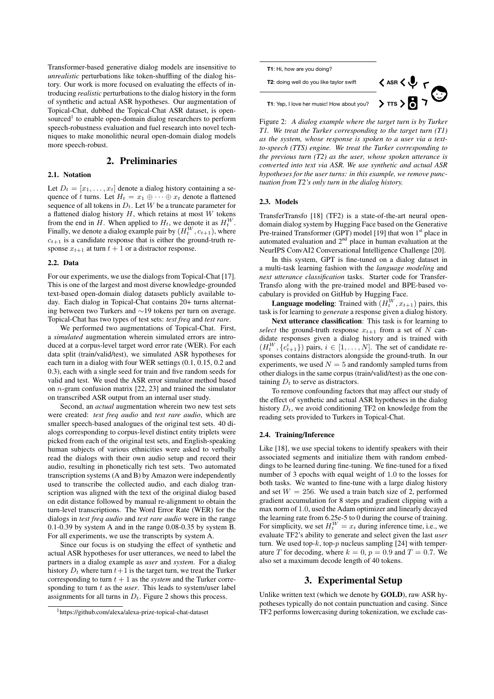Transformer-based generative dialog models are insensitive to *unrealistic* perturbations like token-shuffling of the dialog history. Our work is more focused on evaluating the effects of introducing *realistic* perturbations to the dialog history in the form of synthetic and actual ASR hypotheses. Our augmentation of Topical-Chat, dubbed the Topical-Chat ASR dataset, is opensourced<sup>1</sup> to enable open-domain dialog researchers to perform speech-robustness evaluation and fuel research into novel techniques to make monolithic neural open-domain dialog models more speech-robust.

# 2. Preliminaries

### 2.1. Notation

Let  $D_t = [x_1, \ldots, x_t]$  denote a dialog history containing a sequence of t turns. Let  $H_t = x_1 \oplus \cdots \oplus x_t$  denote a flattened sequence of all tokens in  $D_t$ . Let W be a truncate parameter for a flattened dialog history  $H$ , which retains at most  $W$  tokens from the end in H. When applied to  $H_t$ , we denote it as  $H_t^W$ . Finally, we denote a dialog example pair by  $(H_t^W, c_{t+1})$ , where  $c_{t+1}$  is a candidate response that is either the ground-truth response  $x_{t+1}$  at turn  $t + 1$  or a distractor response.

#### 2.2. Data

For our experiments, we use the dialogs from Topical-Chat [17]. This is one of the largest and most diverse knowledge-grounded text-based open-domain dialog datasets publicly available today. Each dialog in Topical-Chat contains 20+ turns alternating between two Turkers and ∼19 tokens per turn on average. Topical-Chat has two types of test sets: *test freq* and *test rare*.

We performed two augmentations of Topical-Chat. First, a *simulated* augmentation wherein simulated errors are introduced at a corpus-level target word error rate (WER). For each data split (train/valid/test), we simulated ASR hypotheses for each turn in a dialog with four WER settings (0.1, 0.15, 0.2 and 0.3), each with a single seed for train and five random seeds for valid and test. We used the ASR error simulator method based on n-gram confusion matrix [22, 23] and trained the simulator on transcribed ASR output from an internal user study.

Second, an *actual* augmentation wherein two new test sets were created: *test freq audio* and *test rare audio*, which are smaller speech-based analogues of the original test sets. 40 dialogs corresponding to corpus-level distinct entity triplets were picked from each of the original test sets, and English-speaking human subjects of various ethnicities were asked to verbally read the dialogs with their own audio setup and record their audio, resulting in phonetically rich test sets. Two automated transcription systems (A and B) by Amazon were independently used to transcribe the collected audio, and each dialog transcription was aligned with the text of the original dialog based on edit distance followed by manual re-alignment to obtain the turn-level transcriptions. The Word Error Rate (WER) for the dialogs in *test freq audio* and *test rare audio* were in the range 0.1-0.39 by system A and in the range 0.08-0.35 by system B. For all experiments, we use the transcripts by system A.

Since our focus is on studying the effect of synthetic and actual ASR hypotheses for user utterances, we need to label the partners in a dialog example as *user* and *system*. For a dialog history  $D_t$  where turn  $t+1$  is the target turn, we treat the Turker corresponding to turn  $t + 1$  as the *system* and the Turker corresponding to turn t as the *user*. This leads to system/user label assignments for all turns in  $D_t$ . Figure 2 shows this process.



Figure 2: *A dialog example where the target turn is by Turker T1. We treat the Turker corresponding to the target turn (T1) as the system, whose response is spoken to a user via a textto-speech (TTS) engine. We treat the Turker corresponding to the previous turn (T2) as the user, whose spoken utterance is converted into text via ASR. We use synthetic and actual ASR hypotheses for the user turns: in this example, we remove punctuation from T2's only turn in the dialog history.*

#### 2.3. Models

TransferTransfo [18] (TF2) is a state-of-the-art neural opendomain dialog system by Hugging Face based on the Generative Pre-trained Transformer (GPT) model [19] that won 1<sup>st</sup> place in automated evaluation and  $2<sup>nd</sup>$  place in human evaluation at the NeurIPS ConvAI2 Conversational Intelligence Challenge [20].

In this system, GPT is fine-tuned on a dialog dataset in a multi-task learning fashion with the *language modeling* and *next utterance classification* tasks. Starter code for Transfer-Transfo along with the pre-trained model and BPE-based vocabulary is provided on GitHub by Hugging Face.

**Language modeling:** Trained with  $(H_t^W, x_{t+1})$  pairs, this task is for learning to *generate* a response given a dialog history.

Next utterance classification: This task is for learning to *select* the ground-truth response  $x_{t+1}$  from a set of N candidate responses given a dialog history and is trained with  $(H_t^W, \{c_{t+1}^i\})$  pairs,  $i \in [1, \ldots, N]$ . The set of candidate responses contains distractors alongside the ground-truth. In our experiments, we used  $N = 5$  and randomly sampled turns from other dialogs in the same corpus (train/valid/test) as the one containing  $D_t$  to serve as distractors.

To remove confounding factors that may affect our study of the effect of synthetic and actual ASR hypotheses in the dialog history  $D_t$ , we avoid conditioning TF2 on knowledge from the reading sets provided to Turkers in Topical-Chat.

#### 2.4. Training/Inference

Like [18], we use special tokens to identify speakers with their associated segments and initialize them with random embeddings to be learned during fine-tuning. We fine-tuned for a fixed number of 3 epochs with equal weight of 1.0 to the losses for both tasks. We wanted to fine-tune with a large dialog history and set  $W = 256$ . We used a train batch size of 2, performed gradient accumulation for 8 steps and gradient clipping with a max norm of 1.0, used the Adam optimizer and linearly decayed the learning rate from 6.25e-5 to 0 during the course of training. For simplicity, we set  $H_t^W = x_t$  during inference time, i.e., we evaluate TF2's ability to generate and select given the last *user* turn. We used top- $k$ , top- $p$  nucleus sampling [24] with temperature T for decoding, where  $k = 0$ ,  $p = 0.9$  and  $T = 0.7$ . We also set a maximum decode length of 40 tokens.

### 3. Experimental Setup

Unlike written text (which we denote by GOLD), raw ASR hypotheses typically do not contain punctuation and casing. Since TF2 performs lowercasing during tokenization, we exclude cas-

<sup>1</sup>https://github.com/alexa/alexa-prize-topical-chat-dataset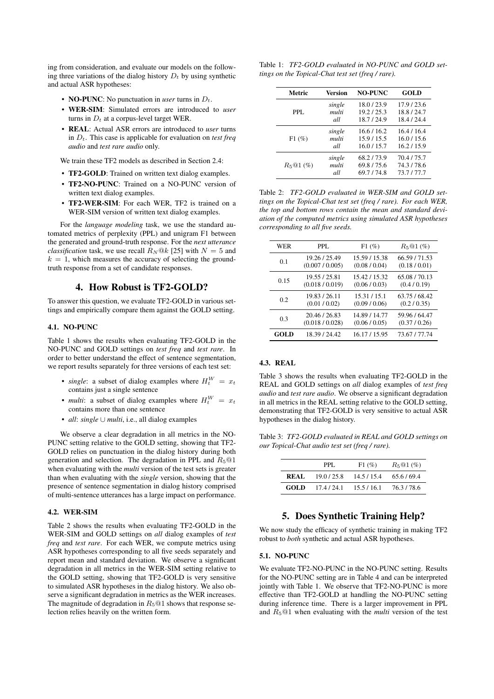ing from consideration, and evaluate our models on the following three variations of the dialog history  $D_t$  by using synthetic and actual ASR hypotheses:

- **NO-PUNC**: No punctuation in *user* turns in  $D_t$ .
- WER-SIM: Simulated errors are introduced to *user* turns in  $D_t$  at a corpus-level target WER.
- REAL: Actual ASR errors are introduced to *user* turns in  $D_t$ . This case is applicable for evaluation on *test freq audio* and *test rare audio* only.

We train these TF2 models as described in Section 2.4:

- TF2-GOLD: Trained on written text dialog examples.
- TF2-NO-PUNC: Trained on a NO-PUNC version of written text dialog examples.
- TF2-WER-SIM: For each WER, TF2 is trained on a WER-SIM version of written text dialog examples.

For the *language modeling* task, we use the standard automated metrics of perplexity (PPL) and unigram F1 between the generated and ground-truth response. For the *next utterance classification* task, we use recall  $R_N@k$  [25] with  $N = 5$  and  $k = 1$ , which measures the accuracy of selecting the groundtruth response from a set of candidate responses.

## 4. How Robust is TF2-GOLD?

To answer this question, we evaluate TF2-GOLD in various settings and empirically compare them against the GOLD setting.

### 4.1. NO-PUNC

Table 1 shows the results when evaluating TF2-GOLD in the NO-PUNC and GOLD settings on *test freq* and *test rare*. In order to better understand the effect of sentence segmentation, we report results separately for three versions of each test set:

- *single*: a subset of dialog examples where  $H_t^W = x_t$ contains just a single sentence
- *multi*: a subset of dialog examples where  $H_t^W = x_t$ contains more than one sentence
- *all*: *single* ∪ *multi*, i.e., all dialog examples

We observe a clear degradation in all metrics in the NO-PUNC setting relative to the GOLD setting, showing that TF2- GOLD relies on punctuation in the dialog history during both generation and selection. The degradation in PPL and  $R_5@1$ when evaluating with the *multi* version of the test sets is greater than when evaluating with the *single* version, showing that the presence of sentence segmentation in dialog history comprised of multi-sentence utterances has a large impact on performance.

#### 4.2. WER-SIM

Table 2 shows the results when evaluating TF2-GOLD in the WER-SIM and GOLD settings on *all* dialog examples of *test freq* and *test rare*. For each WER, we compute metrics using ASR hypotheses corresponding to all five seeds separately and report mean and standard deviation. We observe a significant degradation in all metrics in the WER-SIM setting relative to the GOLD setting, showing that TF2-GOLD is very sensitive to simulated ASR hypotheses in the dialog history. We also observe a significant degradation in metrics as the WER increases. The magnitude of degradation in  $R_5@1$  shows that response selection relies heavily on the written form.

Table 1: *TF2-GOLD evaluated in NO-PUNC and GOLD settings on the Topical-Chat test set (freq / rare).*

| Metric     | Version | <b>NO-PUNC</b> | <b>GOLD</b> |
|------------|---------|----------------|-------------|
| PPI.       | single  | 18.0/23.9      | 17.9/23.6   |
|            | multi   | 19.2 / 25.3    | 18.8/24.7   |
|            | all     | 18.7/24.9      | 18.4/24.4   |
| F1(%)      | single  | 16.6/16.2      | 16.4/16.4   |
|            | multi   | 15.9/15.5      | 16.0/15.6   |
|            | all     | 16.0/15.7      | 16.2 / 15.9 |
| $R_5@1(%)$ | single  | 68.2/73.9      | 70.4/75.7   |
|            | multi   | 69.8/75.6      | 74.3/78.6   |
|            | all     | 69.7/74.8      | 73.7/77.7   |

Table 2: *TF2-GOLD evaluated in WER-SIM and GOLD settings on the Topical-Chat test set (freq / rare). For each WER, the top and bottom rows contain the mean and standard deviation of the computed metrics using simulated ASR hypotheses corresponding to all five seeds.*

| WER  | PPL.            | F1(%)         | $R_5@1(\%)$   |
|------|-----------------|---------------|---------------|
| 0.1  | 19.26 / 25.49   | 15.59 / 15.38 | 66.59 / 71.53 |
|      | (0.007 / 0.005) | (0.08 / 0.04) | (0.18/0.01)   |
| 0.15 | 19.55 / 25.81   | 15.42/15.32   | 65.08 / 70.13 |
|      | (0.018 / 0.019) | (0.06/0.03)   | (0.4/0.19)    |
| 0.2  | 19.83/26.11     | 15.31 / 15.1  | 63.75/68.42   |
|      | (0.01 / 0.02)   | (0.09 / 0.06) | (0.2 / 0.35)  |
| 0.3  | 20.46 / 26.83   | 14.89 / 14.77 | 59.96 / 64.47 |
|      | (0.018 / 0.028) | (0.06/0.05)   | (0.37/0.26)   |
| GOLD | 18.39 / 24.42   | 16.17/15.95   | 73.67 / 77.74 |

#### 4.3. REAL

Table 3 shows the results when evaluating TF2-GOLD in the REAL and GOLD settings on *all* dialog examples of *test freq audio* and *test rare audio*. We observe a significant degradation in all metrics in the REAL setting relative to the GOLD setting, demonstrating that TF2-GOLD is very sensitive to actual ASR hypotheses in the dialog history.

Table 3: *TF2-GOLD evaluated in REAL and GOLD settings on our Topical-Chat audio test set (freq / rare).*

|       | PPL.        | F1(%)     | $R_5@1(%)$ |
|-------|-------------|-----------|------------|
| REAL. | 19.0 / 25.8 | 14.5/15.4 | 65.6/69.4  |
| GOLD  | 17.4/24.1   | 15.5/16.1 | 76.3/78.6  |

### 5. Does Synthetic Training Help?

We now study the efficacy of synthetic training in making TF2 robust to *both* synthetic and actual ASR hypotheses.

#### 5.1. NO-PUNC

We evaluate TF2-NO-PUNC in the NO-PUNC setting. Results for the NO-PUNC setting are in Table 4 and can be interpreted jointly with Table 1. We observe that TF2-NO-PUNC is more effective than TF2-GOLD at handling the NO-PUNC setting during inference time. There is a larger improvement in PPL and R5@1 when evaluating with the *multi* version of the test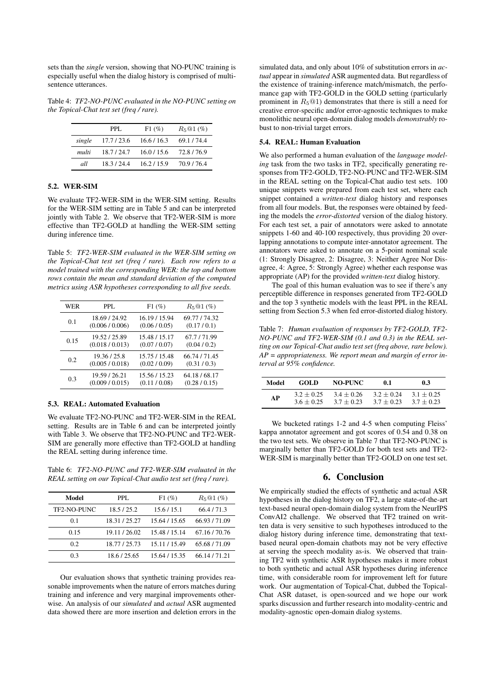sets than the *single* version, showing that NO-PUNC training is especially useful when the dialog history is comprised of multisentence utterances.

Table 4: *TF2-NO-PUNC evaluated in the NO-PUNC setting on the Topical-Chat test set (freq / rare).*

|        | PPL.      | F1(%)       | $R_5@1(%)$ |
|--------|-----------|-------------|------------|
| single | 17.7/23.6 | 16.6 / 16.3 | 69.1/74.4  |
| multi  | 18.7/24.7 | 16.0 / 15.6 | 72.8/76.9  |
| all    | 18.3/24.4 | 16.2 / 15.9 | 70.9/76.4  |

### 5.2. WER-SIM

We evaluate TF2-WER-SIM in the WER-SIM setting. Results for the WER-SIM setting are in Table 5 and can be interpreted jointly with Table 2. We observe that TF2-WER-SIM is more effective than TF2-GOLD at handling the WER-SIM setting during inference time.

Table 5: *TF2-WER-SIM evaluated in the WER-SIM setting on the Topical-Chat test set (freq / rare). Each row refers to a model trained with the corresponding WER: the top and bottom rows contain the mean and standard deviation of the computed metrics using ASR hypotheses corresponding to all five seeds.*

| WER  | PPL.            | F1(%)         | $R_5@1(\%)$   |
|------|-----------------|---------------|---------------|
| 0.1  | 18.69 / 24.92   | 16.19 / 15.94 | 69.77 / 74.32 |
|      | (0.006 / 0.006) | (0.06 / 0.05) | (0.17/0.1)    |
| 0.15 | 19.52/25.89     | 15.48 / 15.17 | 67.7/71.99    |
|      | (0.018 / 0.013) | (0.07 / 0.07) | (0.04/0.2)    |
| 0.2  | 19.36 / 25.8    | 15.75 / 15.48 | 66.74 / 71.45 |
|      | (0.005 / 0.018) | (0.02 / 0.09) | (0.31/0.3)    |
| 0.3  | 19.59 / 26.21   | 15.56 / 15.23 | 64.18/68.17   |
|      | (0.009 / 0.015) | (0.11/0.08)   | (0.28/0.15)   |

### 5.3. REAL: Automated Evaluation

We evaluate TF2-NO-PUNC and TF2-WER-SIM in the REAL setting. Results are in Table 6 and can be interpreted jointly with Table 3. We observe that TF2-NO-PUNC and TF2-WER-SIM are generally more effective than TF2-GOLD at handling the REAL setting during inference time.

Table 6: *TF2-NO-PUNC and TF2-WER-SIM evaluated in the REAL setting on our Topical-Chat audio test set (freq / rare).*

| PPL.          | F1(%)         | $R_5@1(%)$  |
|---------------|---------------|-------------|
| 18.5/25.2     | 15.6 / 15.1   | 66.4/71.3   |
| 18.31/25.27   | 15.64 / 15.65 | 66.93/71.09 |
| 19.11/26.02   | 15.48 / 15.14 | 67.16/70.76 |
| 18.77 / 25.73 | 15.11 / 15.49 | 65.68/71.09 |
| 18.6 / 25.65  | 15.64 / 15.35 | 66.14/71.21 |
|               |               |             |

Our evaluation shows that synthetic training provides reasonable improvements when the nature of errors matches during training and inference and very marginal improvements otherwise. An analysis of our *simulated* and *actual* ASR augmented data showed there are more insertion and deletion errors in the

simulated data, and only about 10% of substitution errors in *actual* appear in *simulated* ASR augmented data. But regardless of the existence of training-inference match/mismatch, the perfomance gap with TF2-GOLD in the GOLD setting (particularly prominent in  $R_5@1$ ) demonstrates that there is still a need for creative error-specific and/or error-agnostic techniques to make monolithic neural open-domain dialog models *demonstrably* robust to non-trivial target errors.

#### 5.4. REAL: Human Evaluation

We also performed a human evaluation of the *language modeling* task from the two tasks in TF2, specifically generating responses from TF2-GOLD, TF2-NO-PUNC and TF2-WER-SIM in the REAL setting on the Topical-Chat audio test sets. 100 unique snippets were prepared from each test set, where each snippet contained a *written-text* dialog history and responses from all four models. But, the responses were obtained by feeding the models the *error-distorted* version of the dialog history. For each test set, a pair of annotators were asked to annotate snippets 1-60 and 40-100 respectively, thus providing 20 overlapping annotations to compute inter-annotator agreement. The annotators were asked to annotate on a 5-point nominal scale (1: Strongly Disagree, 2: Disagree, 3: Neither Agree Nor Disagree, 4: Agree, 5: Strongly Agree) whether each response was appropriate (AP) for the provided *written-text* dialog history.

The goal of this human evaluation was to see if there's any perceptible difference in responses generated from TF2-GOLD and the top 3 synthetic models with the least PPL in the REAL setting from Section 5.3 when fed error-distorted dialog history.

Table 7: *Human evaluation of responses by TF2-GOLD, TF2- NO-PUNC and TF2-WER-SIM (0.1 and 0.3) in the REAL setting on our Topical-Chat audio test set (freq above, rare below). AP = appropriateness. We report mean and margin of error interval at 95% confidence.*

| Model | GOL D        | NO-PUNC      | 0.1          | 0.3          |
|-------|--------------|--------------|--------------|--------------|
| АP    | $3.2 + 0.25$ | $34 + 0.26$  | $3.2 + 0.24$ | $3.1 + 0.25$ |
|       | $36 + 0.25$  | $3.7 + 0.23$ | $3.7 + 0.23$ | $3.7 + 0.23$ |

We bucketed ratings 1-2 and 4-5 when computing Fleiss' kappa annotator agreement and got scores of 0.54 and 0.38 on the two test sets. We observe in Table 7 that TF2-NO-PUNC is marginally better than TF2-GOLD for both test sets and TF2- WER-SIM is marginally better than TF2-GOLD on one test set.

### 6. Conclusion

We empirically studied the effects of synthetic and actual ASR hypotheses in the dialog history on TF2, a large state-of-the-art text-based neural open-domain dialog system from the NeurIPS ConvAI2 challenge. We observed that TF2 trained on written data is very sensitive to such hypotheses introduced to the dialog history during inference time, demonstrating that textbased neural open-domain chatbots may not be very effective at serving the speech modality as-is. We observed that training TF2 with synthetic ASR hypotheses makes it more robust to both synthetic and actual ASR hypotheses during inference time, with considerable room for improvement left for future work. Our augmentation of Topical-Chat, dubbed the Topical-Chat ASR dataset, is open-sourced and we hope our work sparks discussion and further research into modality-centric and modality-agnostic open-domain dialog systems.